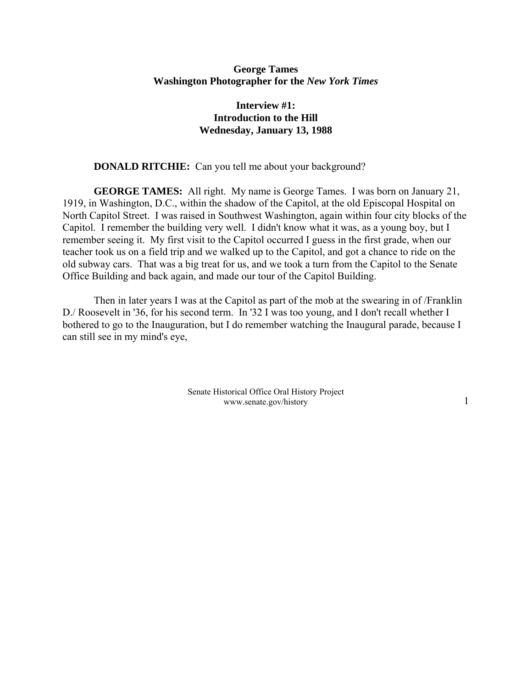# **George Tames Washington Photographer for the** *New York Times*

# **Interview #1: Introduction to the Hill Wednesday, January 13, 1988**

#### **DONALD RITCHIE:** Can you tell me about your background?

**GEORGE TAMES:** All right. My name is George Tames. I was born on January 21, 1919, in Washington, D.C., within the shadow of the Capitol, at the old Episcopal Hospital on North Capitol Street. I was raised in Southwest Washington, again within four city blocks of the Capitol. I remember the building very well. I didn't know what it was, as a young boy, but I remember seeing it. My first visit to the Capitol occurred I guess in the first grade, when our teacher took us on a field trip and we walked up to the Capitol, and got a chance to ride on the old subway cars. That was a big treat for us, and we took a turn from the Capitol to the Senate Office Building and back again, and made our tour of the Capitol Building.

Then in later years I was at the Capitol as part of the mob at the swearing in of /Franklin D./ Roosevelt in '36, for his second term. In '32 I was too young, and I don't recall whether I bothered to go to the Inauguration, but I do remember watching the Inaugural parade, because I can still see in my mind's eye,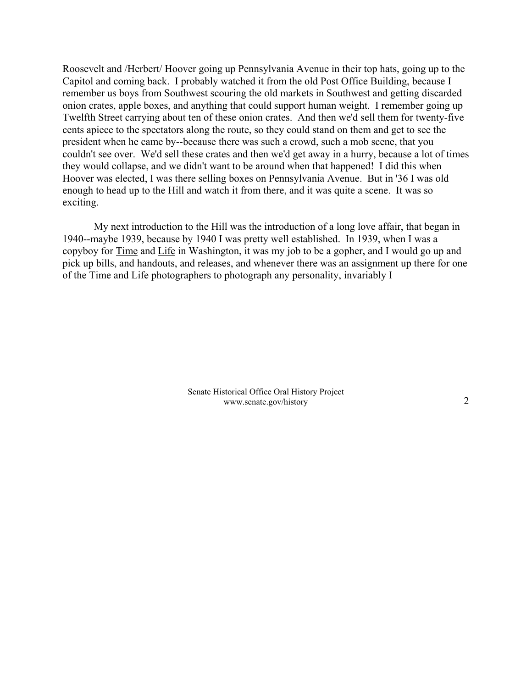Roosevelt and /Herbert/ Hoover going up Pennsylvania Avenue in their top hats, going up to the Capitol and coming back. I probably watched it from the old Post Office Building, because I remember us boys from Southwest scouring the old markets in Southwest and getting discarded onion crates, apple boxes, and anything that could support human weight. I remember going up Twelfth Street carrying about ten of these onion crates. And then we'd sell them for twenty-five cents apiece to the spectators along the route, so they could stand on them and get to see the president when he came by--because there was such a crowd, such a mob scene, that you couldn't see over. We'd sell these crates and then we'd get away in a hurry, because a lot of times they would collapse, and we didn't want to be around when that happened! I did this when Hoover was elected, I was there selling boxes on Pennsylvania Avenue. But in '36 I was old enough to head up to the Hill and watch it from there, and it was quite a scene. It was so exciting.

My next introduction to the Hill was the introduction of a long love affair, that began in 1940--maybe 1939, because by 1940 I was pretty well established. In 1939, when I was a copyboy for Time and Life in Washington, it was my job to be a gopher, and I would go up and pick up bills, and handouts, and releases, and whenever there was an assignment up there for one of the Time and Life photographers to photograph any personality, invariably I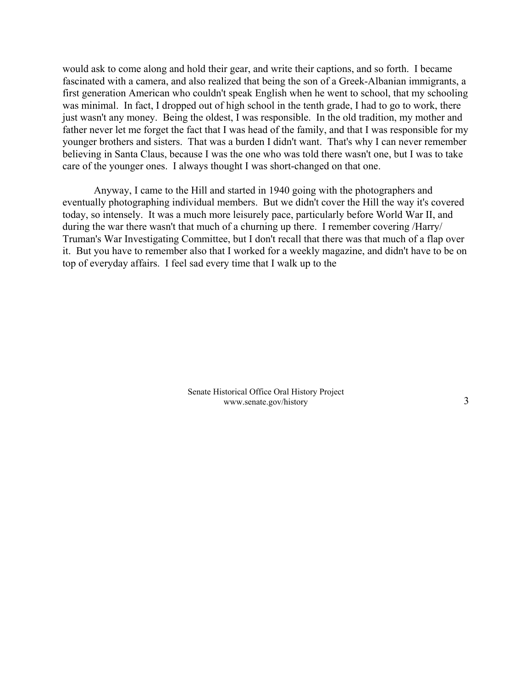would ask to come along and hold their gear, and write their captions, and so forth. I became fascinated with a camera, and also realized that being the son of a Greek-Albanian immigrants, a first generation American who couldn't speak English when he went to school, that my schooling was minimal. In fact, I dropped out of high school in the tenth grade, I had to go to work, there just wasn't any money. Being the oldest, I was responsible. In the old tradition, my mother and father never let me forget the fact that I was head of the family, and that I was responsible for my younger brothers and sisters. That was a burden I didn't want. That's why I can never remember believing in Santa Claus, because I was the one who was told there wasn't one, but I was to take care of the younger ones. I always thought I was short-changed on that one.

Anyway, I came to the Hill and started in 1940 going with the photographers and eventually photographing individual members. But we didn't cover the Hill the way it's covered today, so intensely. It was a much more leisurely pace, particularly before World War II, and during the war there wasn't that much of a churning up there. I remember covering /Harry/ Truman's War Investigating Committee, but I don't recall that there was that much of a flap over it. But you have to remember also that I worked for a weekly magazine, and didn't have to be on top of everyday affairs. I feel sad every time that I walk up to the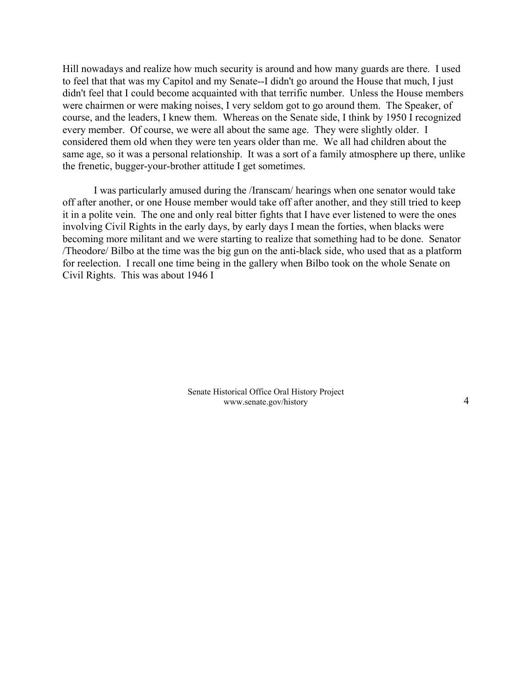Hill nowadays and realize how much security is around and how many guards are there. I used to feel that that was my Capitol and my Senate--I didn't go around the House that much, I just didn't feel that I could become acquainted with that terrific number. Unless the House members were chairmen or were making noises, I very seldom got to go around them. The Speaker, of course, and the leaders, I knew them. Whereas on the Senate side, I think by 1950 I recognized every member. Of course, we were all about the same age. They were slightly older. I considered them old when they were ten years older than me. We all had children about the same age, so it was a personal relationship. It was a sort of a family atmosphere up there, unlike the frenetic, bugger-your-brother attitude I get sometimes.

I was particularly amused during the /Iranscam/ hearings when one senator would take off after another, or one House member would take off after another, and they still tried to keep it in a polite vein. The one and only real bitter fights that I have ever listened to were the ones involving Civil Rights in the early days, by early days I mean the forties, when blacks were becoming more militant and we were starting to realize that something had to be done. Senator /Theodore/ Bilbo at the time was the big gun on the anti-black side, who used that as a platform for reelection. I recall one time being in the gallery when Bilbo took on the whole Senate on Civil Rights. This was about 1946 I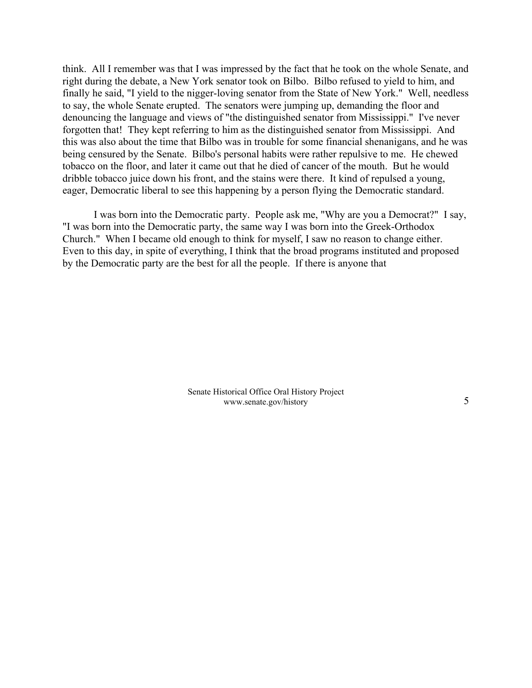think. All I remember was that I was impressed by the fact that he took on the whole Senate, and right during the debate, a New York senator took on Bilbo. Bilbo refused to yield to him, and finally he said, "I yield to the nigger-loving senator from the State of New York." Well, needless to say, the whole Senate erupted. The senators were jumping up, demanding the floor and denouncing the language and views of "the distinguished senator from Mississippi." I've never forgotten that! They kept referring to him as the distinguished senator from Mississippi. And this was also about the time that Bilbo was in trouble for some financial shenanigans, and he was being censured by the Senate. Bilbo's personal habits were rather repulsive to me. He chewed tobacco on the floor, and later it came out that he died of cancer of the mouth. But he would dribble tobacco juice down his front, and the stains were there. It kind of repulsed a young, eager, Democratic liberal to see this happening by a person flying the Democratic standard.

I was born into the Democratic party. People ask me, "Why are you a Democrat?" I say, "I was born into the Democratic party, the same way I was born into the Greek-Orthodox Church." When I became old enough to think for myself, I saw no reason to change either. Even to this day, in spite of everything, I think that the broad programs instituted and proposed by the Democratic party are the best for all the people. If there is anyone that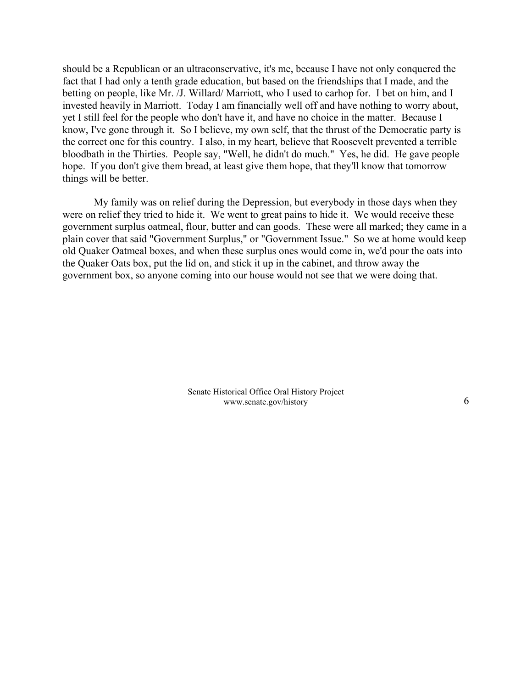should be a Republican or an ultraconservative, it's me, because I have not only conquered the fact that I had only a tenth grade education, but based on the friendships that I made, and the betting on people, like Mr. /J. Willard/ Marriott, who I used to carhop for. I bet on him, and I invested heavily in Marriott. Today I am financially well off and have nothing to worry about, yet I still feel for the people who don't have it, and have no choice in the matter. Because I know, I've gone through it. So I believe, my own self, that the thrust of the Democratic party is the correct one for this country. I also, in my heart, believe that Roosevelt prevented a terrible bloodbath in the Thirties. People say, "Well, he didn't do much." Yes, he did. He gave people hope. If you don't give them bread, at least give them hope, that they'll know that tomorrow things will be better.

My family was on relief during the Depression, but everybody in those days when they were on relief they tried to hide it. We went to great pains to hide it. We would receive these government surplus oatmeal, flour, butter and can goods. These were all marked; they came in a plain cover that said "Government Surplus," or "Government Issue." So we at home would keep old Quaker Oatmeal boxes, and when these surplus ones would come in, we'd pour the oats into the Quaker Oats box, put the lid on, and stick it up in the cabinet, and throw away the government box, so anyone coming into our house would not see that we were doing that.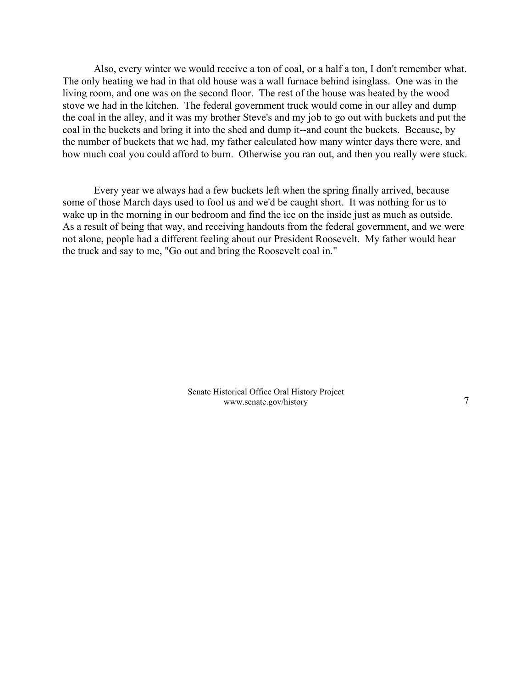Also, every winter we would receive a ton of coal, or a half a ton, I don't remember what. The only heating we had in that old house was a wall furnace behind isinglass. One was in the living room, and one was on the second floor. The rest of the house was heated by the wood stove we had in the kitchen. The federal government truck would come in our alley and dump the coal in the alley, and it was my brother Steve's and my job to go out with buckets and put the coal in the buckets and bring it into the shed and dump it--and count the buckets. Because, by the number of buckets that we had, my father calculated how many winter days there were, and how much coal you could afford to burn. Otherwise you ran out, and then you really were stuck.

Every year we always had a few buckets left when the spring finally arrived, because some of those March days used to fool us and we'd be caught short. It was nothing for us to wake up in the morning in our bedroom and find the ice on the inside just as much as outside. As a result of being that way, and receiving handouts from the federal government, and we were not alone, people had a different feeling about our President Roosevelt. My father would hear the truck and say to me, "Go out and bring the Roosevelt coal in."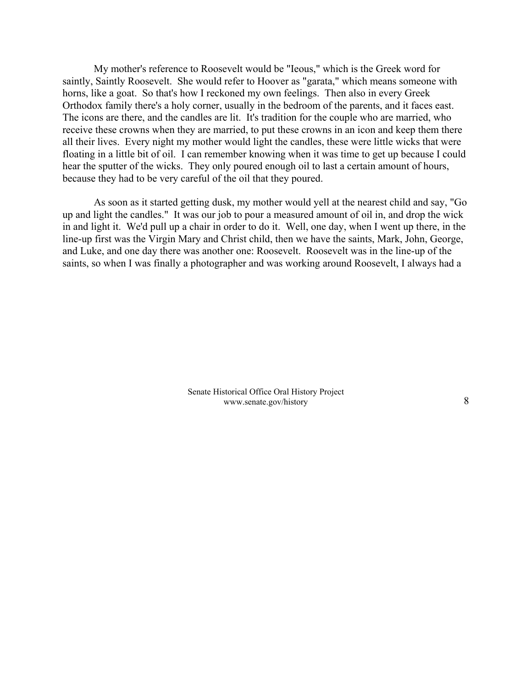My mother's reference to Roosevelt would be "Ieous," which is the Greek word for saintly, Saintly Roosevelt. She would refer to Hoover as "garata," which means someone with horns, like a goat. So that's how I reckoned my own feelings. Then also in every Greek Orthodox family there's a holy corner, usually in the bedroom of the parents, and it faces east. The icons are there, and the candles are lit. It's tradition for the couple who are married, who receive these crowns when they are married, to put these crowns in an icon and keep them there all their lives. Every night my mother would light the candles, these were little wicks that were floating in a little bit of oil. I can remember knowing when it was time to get up because I could hear the sputter of the wicks. They only poured enough oil to last a certain amount of hours, because they had to be very careful of the oil that they poured.

As soon as it started getting dusk, my mother would yell at the nearest child and say, "Go up and light the candles." It was our job to pour a measured amount of oil in, and drop the wick in and light it. We'd pull up a chair in order to do it. Well, one day, when I went up there, in the line-up first was the Virgin Mary and Christ child, then we have the saints, Mark, John, George, and Luke, and one day there was another one: Roosevelt. Roosevelt was in the line-up of the saints, so when I was finally a photographer and was working around Roosevelt, I always had a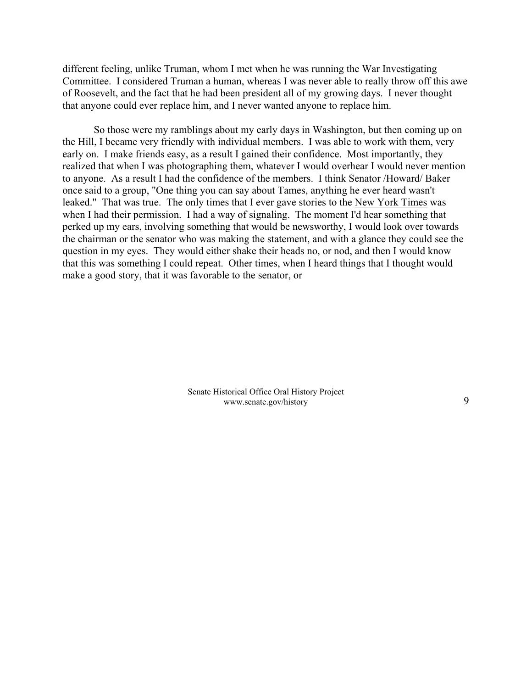different feeling, unlike Truman, whom I met when he was running the War Investigating Committee. I considered Truman a human, whereas I was never able to really throw off this awe of Roosevelt, and the fact that he had been president all of my growing days. I never thought that anyone could ever replace him, and I never wanted anyone to replace him.

So those were my ramblings about my early days in Washington, but then coming up on the Hill, I became very friendly with individual members. I was able to work with them, very early on. I make friends easy, as a result I gained their confidence. Most importantly, they realized that when I was photographing them, whatever I would overhear I would never mention to anyone. As a result I had the confidence of the members. I think Senator /Howard/ Baker once said to a group, "One thing you can say about Tames, anything he ever heard wasn't leaked." That was true. The only times that I ever gave stories to the New York Times was when I had their permission. I had a way of signaling. The moment I'd hear something that perked up my ears, involving something that would be newsworthy, I would look over towards the chairman or the senator who was making the statement, and with a glance they could see the question in my eyes. They would either shake their heads no, or nod, and then I would know that this was something I could repeat. Other times, when I heard things that I thought would make a good story, that it was favorable to the senator, or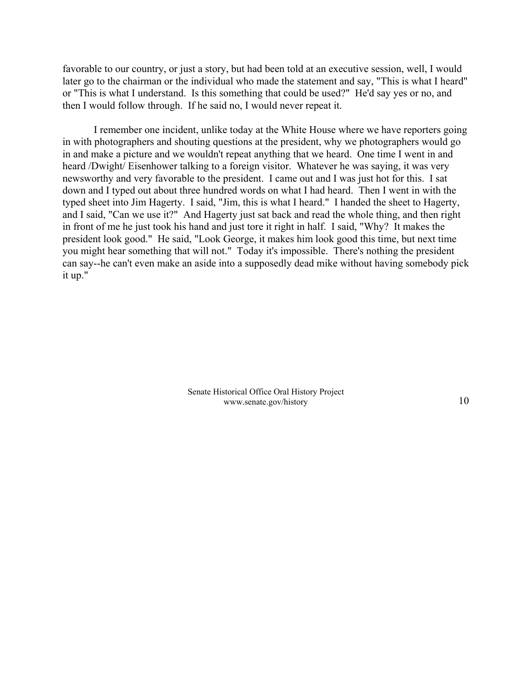favorable to our country, or just a story, but had been told at an executive session, well, I would later go to the chairman or the individual who made the statement and say, "This is what I heard" or "This is what I understand. Is this something that could be used?" He'd say yes or no, and then I would follow through. If he said no, I would never repeat it.

I remember one incident, unlike today at the White House where we have reporters going in with photographers and shouting questions at the president, why we photographers would go in and make a picture and we wouldn't repeat anything that we heard. One time I went in and heard /Dwight/ Eisenhower talking to a foreign visitor. Whatever he was saying, it was very newsworthy and very favorable to the president. I came out and I was just hot for this. I sat down and I typed out about three hundred words on what I had heard. Then I went in with the typed sheet into Jim Hagerty. I said, "Jim, this is what I heard." I handed the sheet to Hagerty, and I said, "Can we use it?" And Hagerty just sat back and read the whole thing, and then right in front of me he just took his hand and just tore it right in half. I said, "Why? It makes the president look good." He said, "Look George, it makes him look good this time, but next time you might hear something that will not." Today it's impossible. There's nothing the president can say--he can't even make an aside into a supposedly dead mike without having somebody pick it up."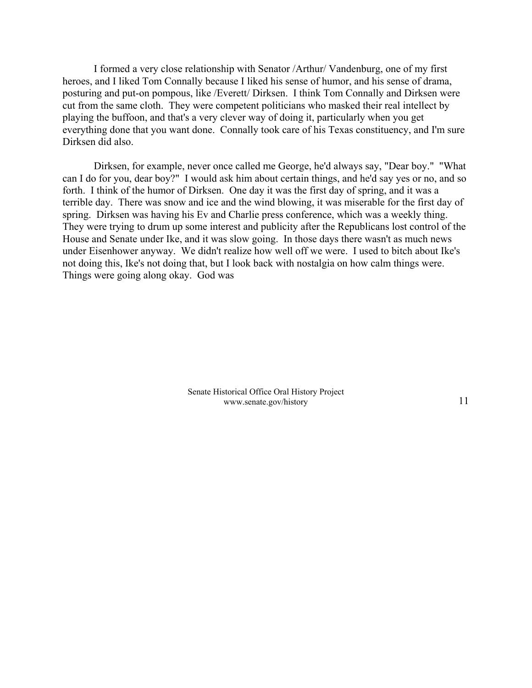I formed a very close relationship with Senator /Arthur/ Vandenburg, one of my first heroes, and I liked Tom Connally because I liked his sense of humor, and his sense of drama, posturing and put-on pompous, like /Everett/ Dirksen. I think Tom Connally and Dirksen were cut from the same cloth. They were competent politicians who masked their real intellect by playing the buffoon, and that's a very clever way of doing it, particularly when you get everything done that you want done. Connally took care of his Texas constituency, and I'm sure Dirksen did also.

Dirksen, for example, never once called me George, he'd always say, "Dear boy." "What can I do for you, dear boy?" I would ask him about certain things, and he'd say yes or no, and so forth. I think of the humor of Dirksen. One day it was the first day of spring, and it was a terrible day. There was snow and ice and the wind blowing, it was miserable for the first day of spring. Dirksen was having his Ev and Charlie press conference, which was a weekly thing. They were trying to drum up some interest and publicity after the Republicans lost control of the House and Senate under Ike, and it was slow going. In those days there wasn't as much news under Eisenhower anyway. We didn't realize how well off we were. I used to bitch about Ike's not doing this, Ike's not doing that, but I look back with nostalgia on how calm things were. Things were going along okay. God was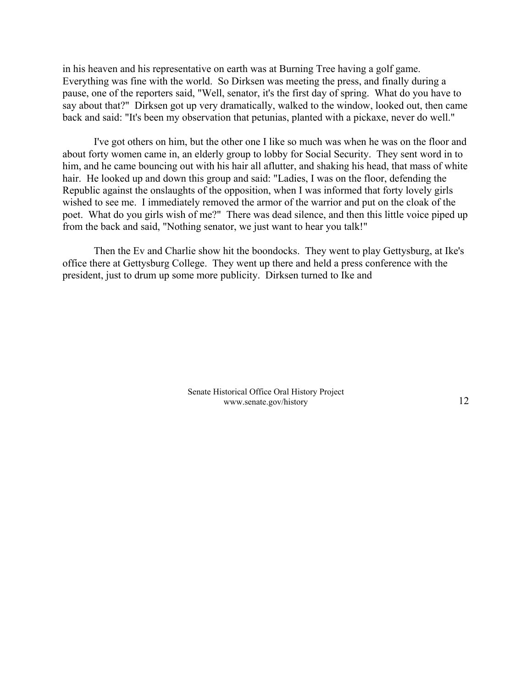in his heaven and his representative on earth was at Burning Tree having a golf game. Everything was fine with the world. So Dirksen was meeting the press, and finally during a pause, one of the reporters said, "Well, senator, it's the first day of spring. What do you have to say about that?" Dirksen got up very dramatically, walked to the window, looked out, then came back and said: "It's been my observation that petunias, planted with a pickaxe, never do well."

I've got others on him, but the other one I like so much was when he was on the floor and about forty women came in, an elderly group to lobby for Social Security. They sent word in to him, and he came bouncing out with his hair all aflutter, and shaking his head, that mass of white hair. He looked up and down this group and said: "Ladies, I was on the floor, defending the Republic against the onslaughts of the opposition, when I was informed that forty lovely girls wished to see me. I immediately removed the armor of the warrior and put on the cloak of the poet. What do you girls wish of me?" There was dead silence, and then this little voice piped up from the back and said, "Nothing senator, we just want to hear you talk!"

Then the Ev and Charlie show hit the boondocks. They went to play Gettysburg, at Ike's office there at Gettysburg College. They went up there and held a press conference with the president, just to drum up some more publicity. Dirksen turned to Ike and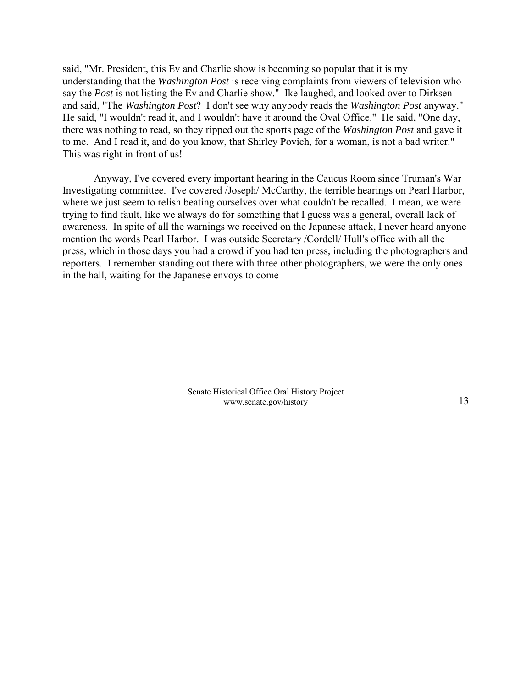said, "Mr. President, this Ev and Charlie show is becoming so popular that it is my understanding that the *Washington Post* is receiving complaints from viewers of television who say the *Post* is not listing the Ev and Charlie show." Ike laughed, and looked over to Dirksen and said, "The *Washington Post*? I don't see why anybody reads the *Washington Post* anyway." He said, "I wouldn't read it, and I wouldn't have it around the Oval Office." He said, "One day, there was nothing to read, so they ripped out the sports page of the *Washington Post* and gave it to me. And I read it, and do you know, that Shirley Povich, for a woman, is not a bad writer." This was right in front of us!

Anyway, I've covered every important hearing in the Caucus Room since Truman's War Investigating committee. I've covered /Joseph/ McCarthy, the terrible hearings on Pearl Harbor, where we just seem to relish beating ourselves over what couldn't be recalled. I mean, we were trying to find fault, like we always do for something that I guess was a general, overall lack of awareness. In spite of all the warnings we received on the Japanese attack, I never heard anyone mention the words Pearl Harbor. I was outside Secretary /Cordell/ Hull's office with all the press, which in those days you had a crowd if you had ten press, including the photographers and reporters. I remember standing out there with three other photographers, we were the only ones in the hall, waiting for the Japanese envoys to come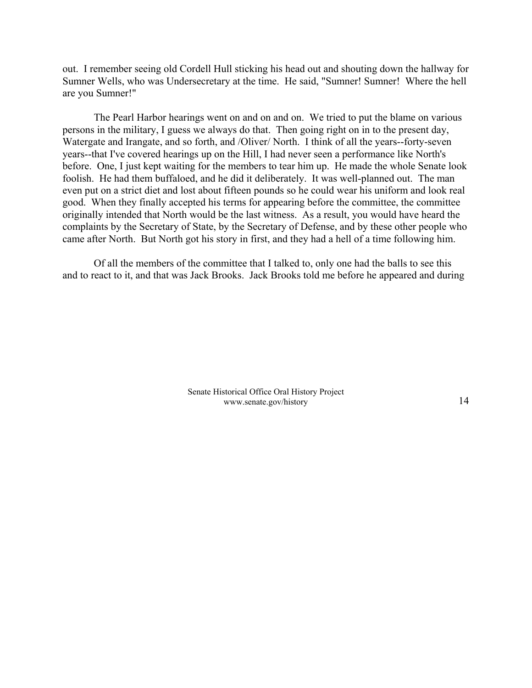out. I remember seeing old Cordell Hull sticking his head out and shouting down the hallway for Sumner Wells, who was Undersecretary at the time. He said, "Sumner! Sumner! Where the hell are you Sumner!"

The Pearl Harbor hearings went on and on and on. We tried to put the blame on various persons in the military, I guess we always do that. Then going right on in to the present day, Watergate and Irangate, and so forth, and /Oliver/ North. I think of all the years--forty-seven years--that I've covered hearings up on the Hill, I had never seen a performance like North's before. One, I just kept waiting for the members to tear him up. He made the whole Senate look foolish. He had them buffaloed, and he did it deliberately. It was well-planned out. The man even put on a strict diet and lost about fifteen pounds so he could wear his uniform and look real good. When they finally accepted his terms for appearing before the committee, the committee originally intended that North would be the last witness. As a result, you would have heard the complaints by the Secretary of State, by the Secretary of Defense, and by these other people who came after North. But North got his story in first, and they had a hell of a time following him.

Of all the members of the committee that I talked to, only one had the balls to see this and to react to it, and that was Jack Brooks. Jack Brooks told me before he appeared and during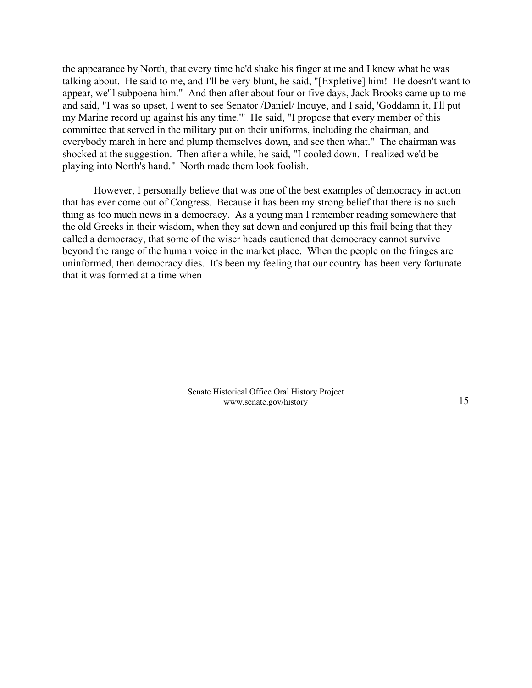the appearance by North, that every time he'd shake his finger at me and I knew what he was talking about. He said to me, and I'll be very blunt, he said, "[Expletive] him! He doesn't want to appear, we'll subpoena him." And then after about four or five days, Jack Brooks came up to me and said, "I was so upset, I went to see Senator /Daniel/ Inouye, and I said, 'Goddamn it, I'll put my Marine record up against his any time.'" He said, "I propose that every member of this committee that served in the military put on their uniforms, including the chairman, and everybody march in here and plump themselves down, and see then what." The chairman was shocked at the suggestion. Then after a while, he said, "I cooled down. I realized we'd be playing into North's hand." North made them look foolish.

However, I personally believe that was one of the best examples of democracy in action that has ever come out of Congress. Because it has been my strong belief that there is no such thing as too much news in a democracy. As a young man I remember reading somewhere that the old Greeks in their wisdom, when they sat down and conjured up this frail being that they called a democracy, that some of the wiser heads cautioned that democracy cannot survive beyond the range of the human voice in the market place. When the people on the fringes are uninformed, then democracy dies. It's been my feeling that our country has been very fortunate that it was formed at a time when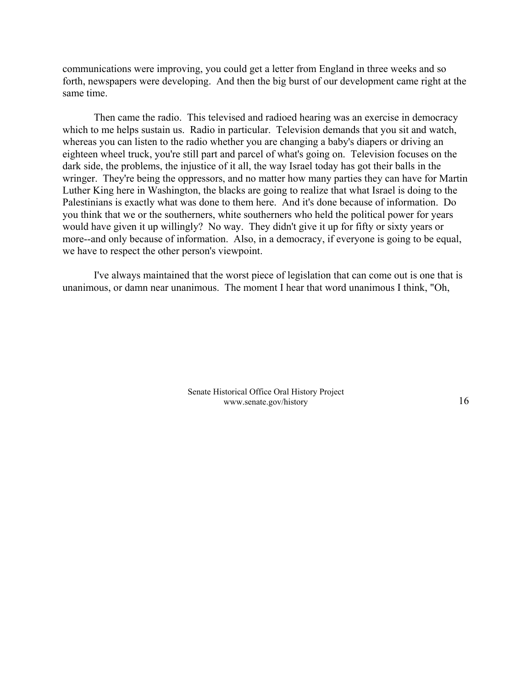communications were improving, you could get a letter from England in three weeks and so forth, newspapers were developing. And then the big burst of our development came right at the same time.

Then came the radio. This televised and radioed hearing was an exercise in democracy which to me helps sustain us. Radio in particular. Television demands that you sit and watch, whereas you can listen to the radio whether you are changing a baby's diapers or driving an eighteen wheel truck, you're still part and parcel of what's going on. Television focuses on the dark side, the problems, the injustice of it all, the way Israel today has got their balls in the wringer. They're being the oppressors, and no matter how many parties they can have for Martin Luther King here in Washington, the blacks are going to realize that what Israel is doing to the Palestinians is exactly what was done to them here. And it's done because of information. Do you think that we or the southerners, white southerners who held the political power for years would have given it up willingly? No way. They didn't give it up for fifty or sixty years or more--and only because of information. Also, in a democracy, if everyone is going to be equal, we have to respect the other person's viewpoint.

I've always maintained that the worst piece of legislation that can come out is one that is unanimous, or damn near unanimous. The moment I hear that word unanimous I think, "Oh,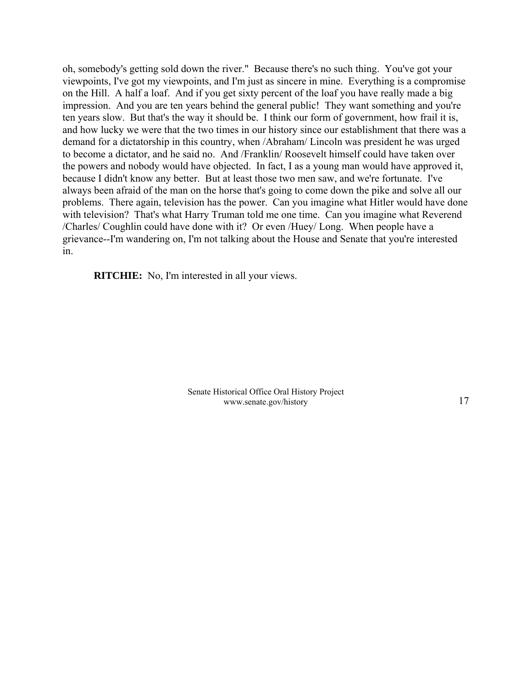oh, somebody's getting sold down the river." Because there's no such thing. You've got your viewpoints, I've got my viewpoints, and I'm just as sincere in mine. Everything is a compromise on the Hill. A half a loaf. And if you get sixty percent of the loaf you have really made a big impression. And you are ten years behind the general public! They want something and you're ten years slow. But that's the way it should be. I think our form of government, how frail it is, and how lucky we were that the two times in our history since our establishment that there was a demand for a dictatorship in this country, when /Abraham/ Lincoln was president he was urged to become a dictator, and he said no. And /Franklin/ Roosevelt himself could have taken over the powers and nobody would have objected. In fact, I as a young man would have approved it, because I didn't know any better. But at least those two men saw, and we're fortunate. I've always been afraid of the man on the horse that's going to come down the pike and solve all our problems. There again, television has the power. Can you imagine what Hitler would have done with television? That's what Harry Truman told me one time. Can you imagine what Reverend /Charles/ Coughlin could have done with it? Or even /Huey/ Long. When people have a grievance--I'm wandering on, I'm not talking about the House and Senate that you're interested in.

**RITCHIE:** No, I'm interested in all your views.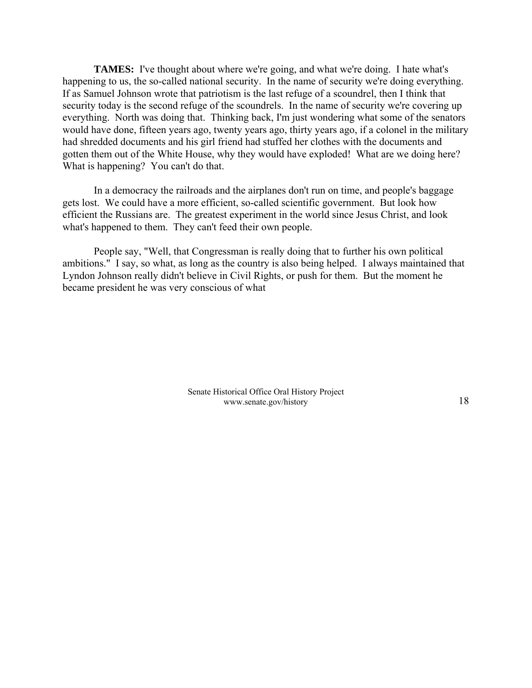**TAMES:** I've thought about where we're going, and what we're doing. I hate what's happening to us, the so-called national security. In the name of security we're doing everything. If as Samuel Johnson wrote that patriotism is the last refuge of a scoundrel, then I think that security today is the second refuge of the scoundrels. In the name of security we're covering up everything. North was doing that. Thinking back, I'm just wondering what some of the senators would have done, fifteen years ago, twenty years ago, thirty years ago, if a colonel in the military had shredded documents and his girl friend had stuffed her clothes with the documents and gotten them out of the White House, why they would have exploded! What are we doing here? What is happening? You can't do that.

In a democracy the railroads and the airplanes don't run on time, and people's baggage gets lost. We could have a more efficient, so-called scientific government. But look how efficient the Russians are. The greatest experiment in the world since Jesus Christ, and look what's happened to them. They can't feed their own people.

People say, "Well, that Congressman is really doing that to further his own political ambitions." I say, so what, as long as the country is also being helped. I always maintained that Lyndon Johnson really didn't believe in Civil Rights, or push for them. But the moment he became president he was very conscious of what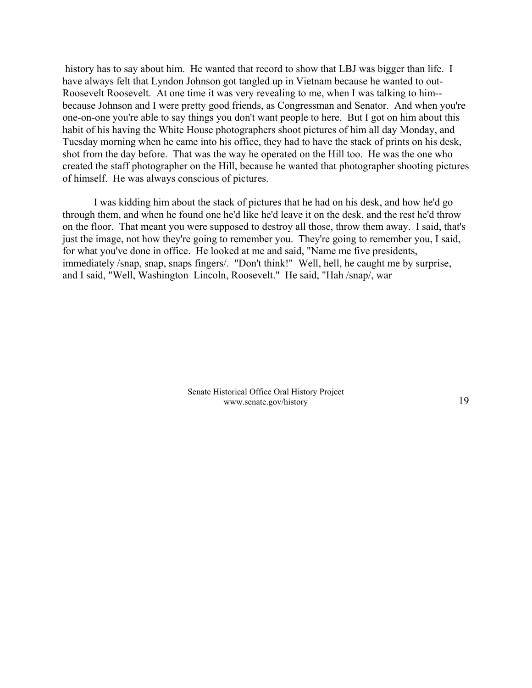history has to say about him. He wanted that record to show that LBJ was bigger than life. I have always felt that Lyndon Johnson got tangled up in Vietnam because he wanted to out-Roosevelt Roosevelt. At one time it was very revealing to me, when I was talking to him- because Johnson and I were pretty good friends, as Congressman and Senator. And when you're one-on-one you're able to say things you don't want people to here. But I got on him about this habit of his having the White House photographers shoot pictures of him all day Monday, and Tuesday morning when he came into his office, they had to have the stack of prints on his desk, shot from the day before. That was the way he operated on the Hill too. He was the one who created the staff photographer on the Hill, because he wanted that photographer shooting pictures of himself. He was always conscious of pictures.

I was kidding him about the stack of pictures that he had on his desk, and how he'd go through them, and when he found one he'd like he'd leave it on the desk, and the rest he'd throw on the floor. That meant you were supposed to destroy all those, throw them away. I said, that's just the image, not how they're going to remember you. They're going to remember you, I said, for what you've done in office. He looked at me and said, "Name me five presidents, immediately /snap, snap, snaps fingers/. "Don't think!" Well, hell, he caught me by surprise, and I said, "Well, Washington Lincoln, Roosevelt." He said, "Hah /snap/, war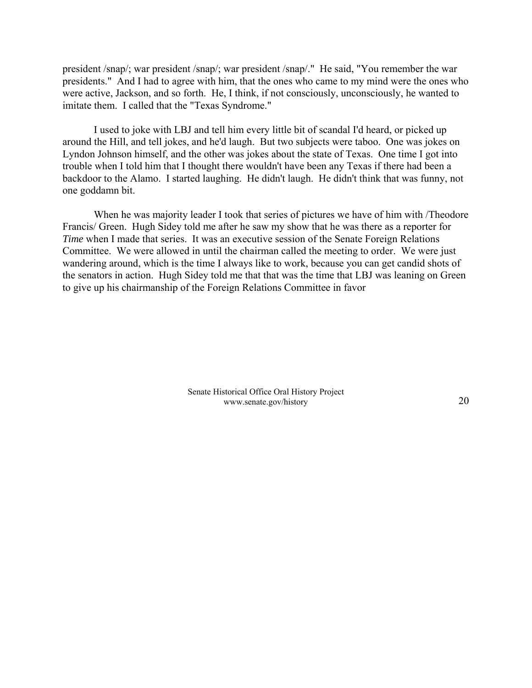president /snap/; war president /snap/; war president /snap/." He said, "You remember the war presidents." And I had to agree with him, that the ones who came to my mind were the ones who were active, Jackson, and so forth. He, I think, if not consciously, unconsciously, he wanted to imitate them. I called that the "Texas Syndrome."

I used to joke with LBJ and tell him every little bit of scandal I'd heard, or picked up around the Hill, and tell jokes, and he'd laugh. But two subjects were taboo. One was jokes on Lyndon Johnson himself, and the other was jokes about the state of Texas. One time I got into trouble when I told him that I thought there wouldn't have been any Texas if there had been a backdoor to the Alamo. I started laughing. He didn't laugh. He didn't think that was funny, not one goddamn bit.

When he was majority leader I took that series of pictures we have of him with /Theodore Francis/ Green. Hugh Sidey told me after he saw my show that he was there as a reporter for *Time* when I made that series. It was an executive session of the Senate Foreign Relations Committee. We were allowed in until the chairman called the meeting to order. We were just wandering around, which is the time I always like to work, because you can get candid shots of the senators in action. Hugh Sidey told me that that was the time that LBJ was leaning on Green to give up his chairmanship of the Foreign Relations Committee in favor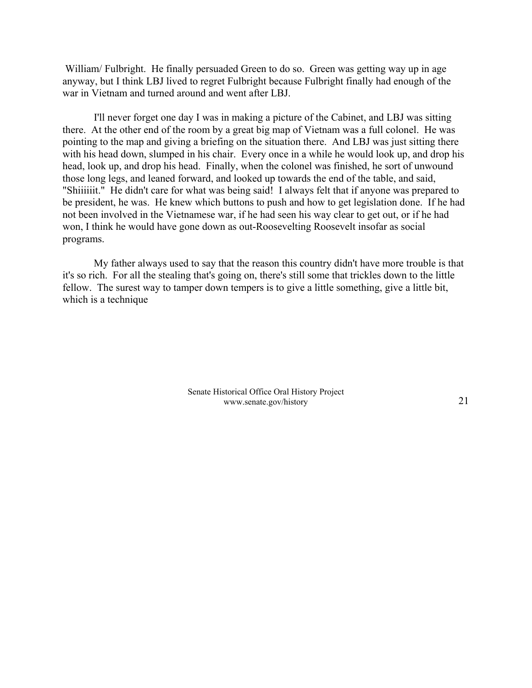William/ Fulbright. He finally persuaded Green to do so. Green was getting way up in age anyway, but I think LBJ lived to regret Fulbright because Fulbright finally had enough of the war in Vietnam and turned around and went after LBJ.

I'll never forget one day I was in making a picture of the Cabinet, and LBJ was sitting there. At the other end of the room by a great big map of Vietnam was a full colonel. He was pointing to the map and giving a briefing on the situation there. And LBJ was just sitting there with his head down, slumped in his chair. Every once in a while he would look up, and drop his head, look up, and drop his head. Finally, when the colonel was finished, he sort of unwound those long legs, and leaned forward, and looked up towards the end of the table, and said, "Shiiiiiit." He didn't care for what was being said! I always felt that if anyone was prepared to be president, he was. He knew which buttons to push and how to get legislation done. If he had not been involved in the Vietnamese war, if he had seen his way clear to get out, or if he had won, I think he would have gone down as out-Roosevelting Roosevelt insofar as social programs.

My father always used to say that the reason this country didn't have more trouble is that it's so rich. For all the stealing that's going on, there's still some that trickles down to the little fellow. The surest way to tamper down tempers is to give a little something, give a little bit, which is a technique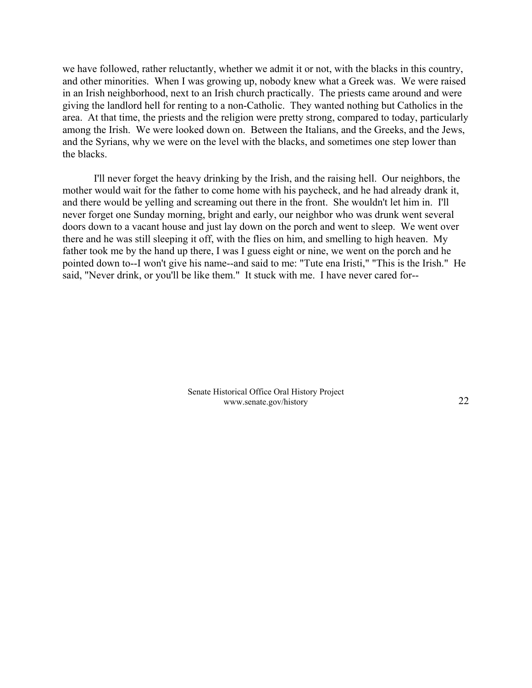we have followed, rather reluctantly, whether we admit it or not, with the blacks in this country, and other minorities. When I was growing up, nobody knew what a Greek was. We were raised in an Irish neighborhood, next to an Irish church practically. The priests came around and were giving the landlord hell for renting to a non-Catholic. They wanted nothing but Catholics in the area. At that time, the priests and the religion were pretty strong, compared to today, particularly among the Irish. We were looked down on. Between the Italians, and the Greeks, and the Jews, and the Syrians, why we were on the level with the blacks, and sometimes one step lower than the blacks.

I'll never forget the heavy drinking by the Irish, and the raising hell. Our neighbors, the mother would wait for the father to come home with his paycheck, and he had already drank it, and there would be yelling and screaming out there in the front. She wouldn't let him in. I'll never forget one Sunday morning, bright and early, our neighbor who was drunk went several doors down to a vacant house and just lay down on the porch and went to sleep. We went over there and he was still sleeping it off, with the flies on him, and smelling to high heaven. My father took me by the hand up there, I was I guess eight or nine, we went on the porch and he pointed down to--I won't give his name--and said to me: "Tute ena Iristi," "This is the Irish." He said, "Never drink, or you'll be like them." It stuck with me. I have never cared for--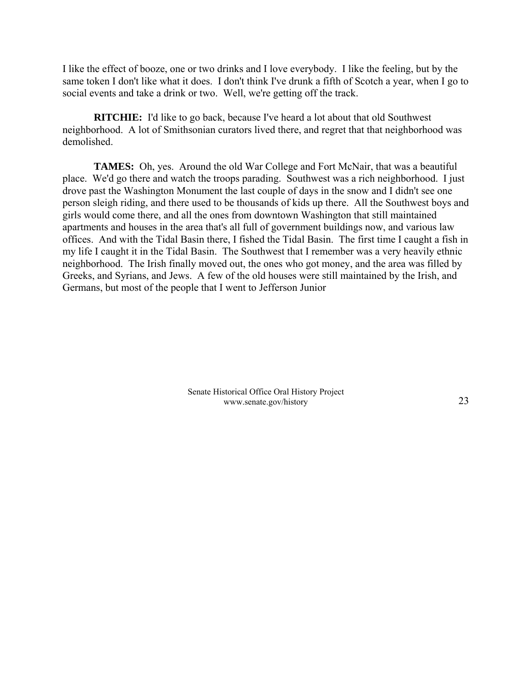I like the effect of booze, one or two drinks and I love everybody. I like the feeling, but by the same token I don't like what it does. I don't think I've drunk a fifth of Scotch a year, when I go to social events and take a drink or two. Well, we're getting off the track.

**RITCHIE:** I'd like to go back, because I've heard a lot about that old Southwest neighborhood. A lot of Smithsonian curators lived there, and regret that that neighborhood was demolished.

**TAMES:** Oh, yes. Around the old War College and Fort McNair, that was a beautiful place. We'd go there and watch the troops parading. Southwest was a rich neighborhood. I just drove past the Washington Monument the last couple of days in the snow and I didn't see one person sleigh riding, and there used to be thousands of kids up there. All the Southwest boys and girls would come there, and all the ones from downtown Washington that still maintained apartments and houses in the area that's all full of government buildings now, and various law offices. And with the Tidal Basin there, I fished the Tidal Basin. The first time I caught a fish in my life I caught it in the Tidal Basin. The Southwest that I remember was a very heavily ethnic neighborhood. The Irish finally moved out, the ones who got money, and the area was filled by Greeks, and Syrians, and Jews. A few of the old houses were still maintained by the Irish, and Germans, but most of the people that I went to Jefferson Junior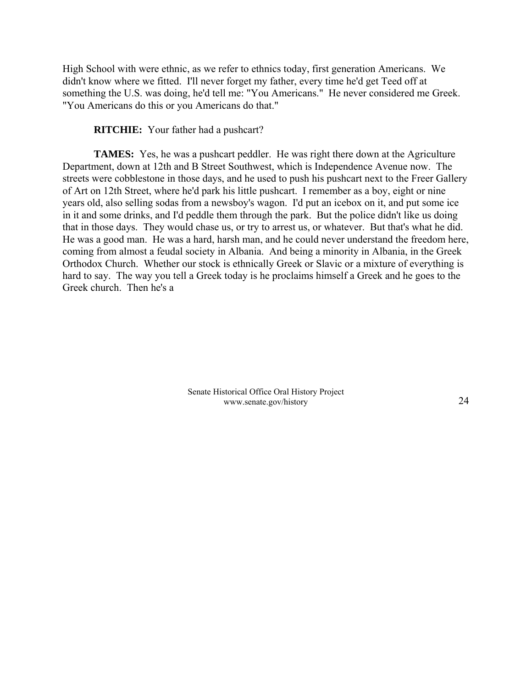High School with were ethnic, as we refer to ethnics today, first generation Americans. We didn't know where we fitted. I'll never forget my father, every time he'd get Teed off at something the U.S. was doing, he'd tell me: "You Americans." He never considered me Greek. "You Americans do this or you Americans do that."

# **RITCHIE:** Your father had a pushcart?

**TAMES:** Yes, he was a pushcart peddler. He was right there down at the Agriculture Department, down at 12th and B Street Southwest, which is Independence Avenue now. The streets were cobblestone in those days, and he used to push his pushcart next to the Freer Gallery of Art on 12th Street, where he'd park his little pushcart. I remember as a boy, eight or nine years old, also selling sodas from a newsboy's wagon. I'd put an icebox on it, and put some ice in it and some drinks, and I'd peddle them through the park. But the police didn't like us doing that in those days. They would chase us, or try to arrest us, or whatever. But that's what he did. He was a good man. He was a hard, harsh man, and he could never understand the freedom here, coming from almost a feudal society in Albania. And being a minority in Albania, in the Greek Orthodox Church. Whether our stock is ethnically Greek or Slavic or a mixture of everything is hard to say. The way you tell a Greek today is he proclaims himself a Greek and he goes to the Greek church. Then he's a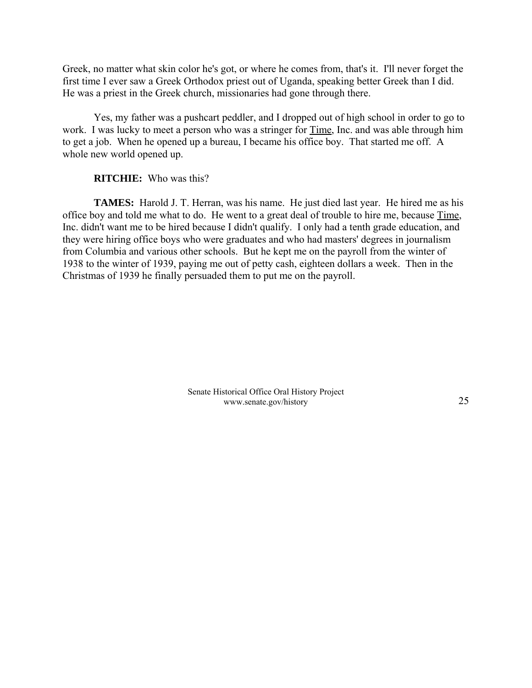Greek, no matter what skin color he's got, or where he comes from, that's it. I'll never forget the first time I ever saw a Greek Orthodox priest out of Uganda, speaking better Greek than I did. He was a priest in the Greek church, missionaries had gone through there.

Yes, my father was a pushcart peddler, and I dropped out of high school in order to go to work. I was lucky to meet a person who was a stringer for Time, Inc. and was able through him to get a job. When he opened up a bureau, I became his office boy. That started me off. A whole new world opened up.

# **RITCHIE:** Who was this?

**TAMES:** Harold J. T. Herran, was his name. He just died last year. He hired me as his office boy and told me what to do. He went to a great deal of trouble to hire me, because Time, Inc. didn't want me to be hired because I didn't qualify. I only had a tenth grade education, and they were hiring office boys who were graduates and who had masters' degrees in journalism from Columbia and various other schools. But he kept me on the payroll from the winter of 1938 to the winter of 1939, paying me out of petty cash, eighteen dollars a week. Then in the Christmas of 1939 he finally persuaded them to put me on the payroll.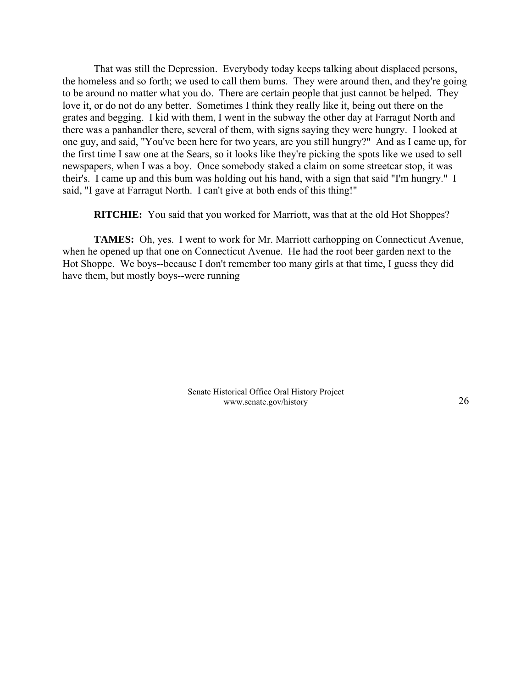That was still the Depression. Everybody today keeps talking about displaced persons, the homeless and so forth; we used to call them bums. They were around then, and they're going to be around no matter what you do. There are certain people that just cannot be helped. They love it, or do not do any better. Sometimes I think they really like it, being out there on the grates and begging. I kid with them, I went in the subway the other day at Farragut North and there was a panhandler there, several of them, with signs saying they were hungry. I looked at one guy, and said, "You've been here for two years, are you still hungry?" And as I came up, for the first time I saw one at the Sears, so it looks like they're picking the spots like we used to sell newspapers, when I was a boy. Once somebody staked a claim on some streetcar stop, it was their's. I came up and this bum was holding out his hand, with a sign that said "I'm hungry." I said, "I gave at Farragut North. I can't give at both ends of this thing!"

**RITCHIE:** You said that you worked for Marriott, was that at the old Hot Shoppes?

**TAMES:** Oh, yes. I went to work for Mr. Marriott carhopping on Connecticut Avenue, when he opened up that one on Connecticut Avenue. He had the root beer garden next to the Hot Shoppe. We boys--because I don't remember too many girls at that time, I guess they did have them, but mostly boys--were running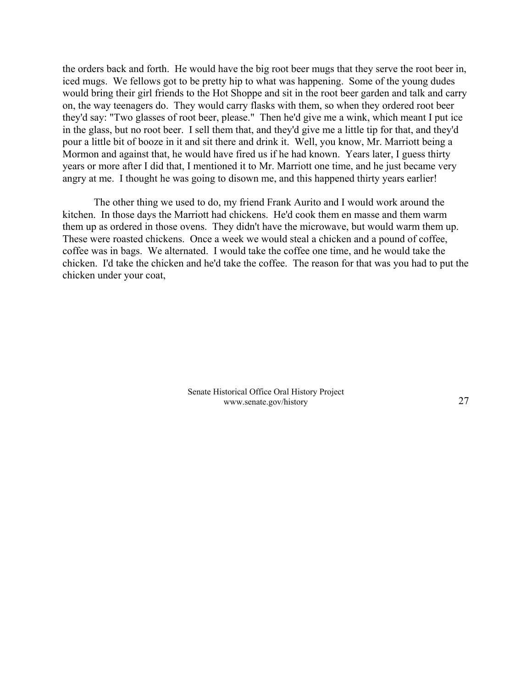the orders back and forth. He would have the big root beer mugs that they serve the root beer in, iced mugs. We fellows got to be pretty hip to what was happening. Some of the young dudes would bring their girl friends to the Hot Shoppe and sit in the root beer garden and talk and carry on, the way teenagers do. They would carry flasks with them, so when they ordered root beer they'd say: "Two glasses of root beer, please." Then he'd give me a wink, which meant I put ice in the glass, but no root beer. I sell them that, and they'd give me a little tip for that, and they'd pour a little bit of booze in it and sit there and drink it. Well, you know, Mr. Marriott being a Mormon and against that, he would have fired us if he had known. Years later, I guess thirty years or more after I did that, I mentioned it to Mr. Marriott one time, and he just became very angry at me. I thought he was going to disown me, and this happened thirty years earlier!

The other thing we used to do, my friend Frank Aurito and I would work around the kitchen. In those days the Marriott had chickens. He'd cook them en masse and them warm them up as ordered in those ovens. They didn't have the microwave, but would warm them up. These were roasted chickens. Once a week we would steal a chicken and a pound of coffee, coffee was in bags. We alternated. I would take the coffee one time, and he would take the chicken. I'd take the chicken and he'd take the coffee. The reason for that was you had to put the chicken under your coat,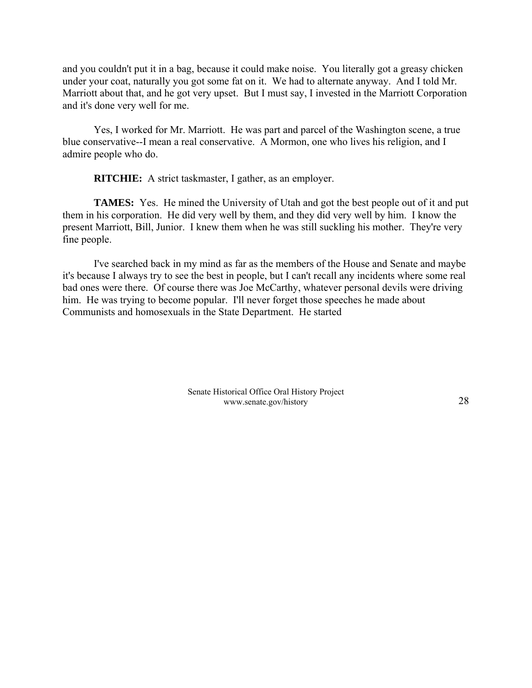and you couldn't put it in a bag, because it could make noise. You literally got a greasy chicken under your coat, naturally you got some fat on it. We had to alternate anyway. And I told Mr. Marriott about that, and he got very upset. But I must say, I invested in the Marriott Corporation and it's done very well for me.

Yes, I worked for Mr. Marriott. He was part and parcel of the Washington scene, a true blue conservative--I mean a real conservative. A Mormon, one who lives his religion, and I admire people who do.

**RITCHIE:** A strict taskmaster, I gather, as an employer.

**TAMES:** Yes. He mined the University of Utah and got the best people out of it and put them in his corporation. He did very well by them, and they did very well by him. I know the present Marriott, Bill, Junior. I knew them when he was still suckling his mother. They're very fine people.

I've searched back in my mind as far as the members of the House and Senate and maybe it's because I always try to see the best in people, but I can't recall any incidents where some real bad ones were there. Of course there was Joe McCarthy, whatever personal devils were driving him. He was trying to become popular. I'll never forget those speeches he made about Communists and homosexuals in the State Department. He started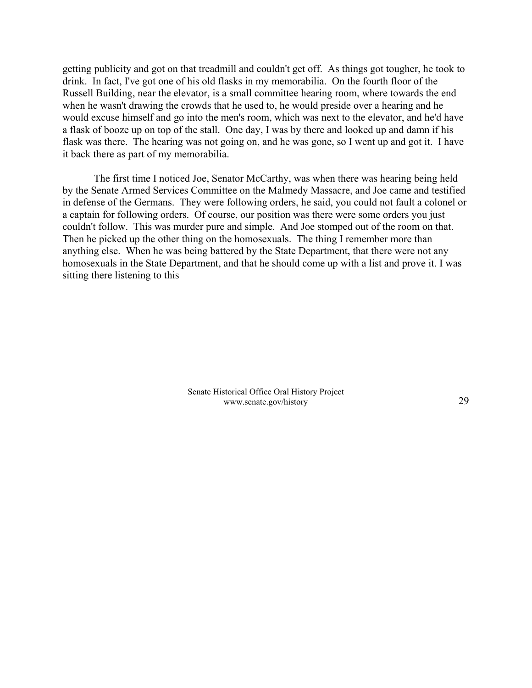getting publicity and got on that treadmill and couldn't get off. As things got tougher, he took to drink. In fact, I've got one of his old flasks in my memorabilia. On the fourth floor of the Russell Building, near the elevator, is a small committee hearing room, where towards the end when he wasn't drawing the crowds that he used to, he would preside over a hearing and he would excuse himself and go into the men's room, which was next to the elevator, and he'd have a flask of booze up on top of the stall. One day, I was by there and looked up and damn if his flask was there. The hearing was not going on, and he was gone, so I went up and got it. I have it back there as part of my memorabilia.

The first time I noticed Joe, Senator McCarthy, was when there was hearing being held by the Senate Armed Services Committee on the Malmedy Massacre, and Joe came and testified in defense of the Germans. They were following orders, he said, you could not fault a colonel or a captain for following orders. Of course, our position was there were some orders you just couldn't follow. This was murder pure and simple. And Joe stomped out of the room on that. Then he picked up the other thing on the homosexuals. The thing I remember more than anything else. When he was being battered by the State Department, that there were not any homosexuals in the State Department, and that he should come up with a list and prove it. I was sitting there listening to this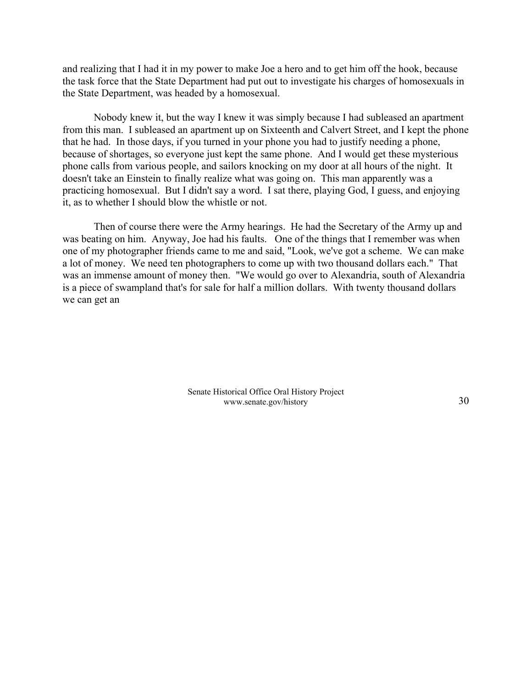and realizing that I had it in my power to make Joe a hero and to get him off the hook, because the task force that the State Department had put out to investigate his charges of homosexuals in the State Department, was headed by a homosexual.

Nobody knew it, but the way I knew it was simply because I had subleased an apartment from this man. I subleased an apartment up on Sixteenth and Calvert Street, and I kept the phone that he had. In those days, if you turned in your phone you had to justify needing a phone, because of shortages, so everyone just kept the same phone. And I would get these mysterious phone calls from various people, and sailors knocking on my door at all hours of the night. It doesn't take an Einstein to finally realize what was going on. This man apparently was a practicing homosexual. But I didn't say a word. I sat there, playing God, I guess, and enjoying it, as to whether I should blow the whistle or not.

Then of course there were the Army hearings. He had the Secretary of the Army up and was beating on him. Anyway, Joe had his faults. One of the things that I remember was when one of my photographer friends came to me and said, "Look, we've got a scheme. We can make a lot of money. We need ten photographers to come up with two thousand dollars each." That was an immense amount of money then. "We would go over to Alexandria, south of Alexandria is a piece of swampland that's for sale for half a million dollars. With twenty thousand dollars we can get an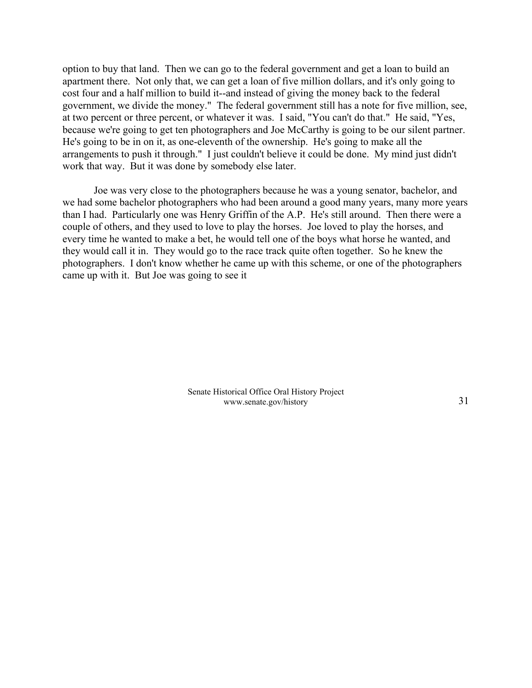option to buy that land. Then we can go to the federal government and get a loan to build an apartment there. Not only that, we can get a loan of five million dollars, and it's only going to cost four and a half million to build it--and instead of giving the money back to the federal government, we divide the money." The federal government still has a note for five million, see, at two percent or three percent, or whatever it was. I said, "You can't do that." He said, "Yes, because we're going to get ten photographers and Joe McCarthy is going to be our silent partner. He's going to be in on it, as one-eleventh of the ownership. He's going to make all the arrangements to push it through." I just couldn't believe it could be done. My mind just didn't work that way. But it was done by somebody else later.

Joe was very close to the photographers because he was a young senator, bachelor, and we had some bachelor photographers who had been around a good many years, many more years than I had. Particularly one was Henry Griffin of the A.P. He's still around. Then there were a couple of others, and they used to love to play the horses. Joe loved to play the horses, and every time he wanted to make a bet, he would tell one of the boys what horse he wanted, and they would call it in. They would go to the race track quite often together. So he knew the photographers. I don't know whether he came up with this scheme, or one of the photographers came up with it. But Joe was going to see it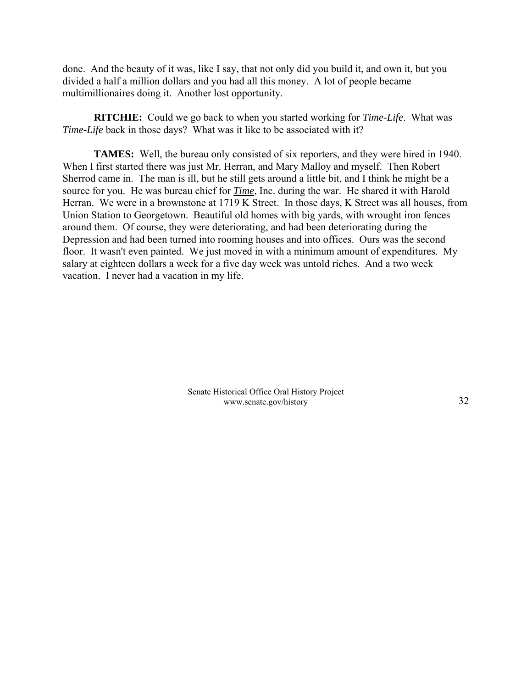done. And the beauty of it was, like I say, that not only did you build it, and own it, but you divided a half a million dollars and you had all this money. A lot of people became multimillionaires doing it. Another lost opportunity.

**RITCHIE:** Could we go back to when you started working for *Time-Life*. What was *Time-Life* back in those days? What was it like to be associated with it?

**TAMES:** Well, the bureau only consisted of six reporters, and they were hired in 1940. When I first started there was just Mr. Herran, and Mary Malloy and myself. Then Robert Sherrod came in. The man is ill, but he still gets around a little bit, and I think he might be a source for you. He was bureau chief for *Time*, Inc. during the war. He shared it with Harold Herran. We were in a brownstone at 1719 K Street. In those days, K Street was all houses, from Union Station to Georgetown. Beautiful old homes with big yards, with wrought iron fences around them. Of course, they were deteriorating, and had been deteriorating during the Depression and had been turned into rooming houses and into offices. Ours was the second floor. It wasn't even painted. We just moved in with a minimum amount of expenditures. My salary at eighteen dollars a week for a five day week was untold riches. And a two week vacation. I never had a vacation in my life.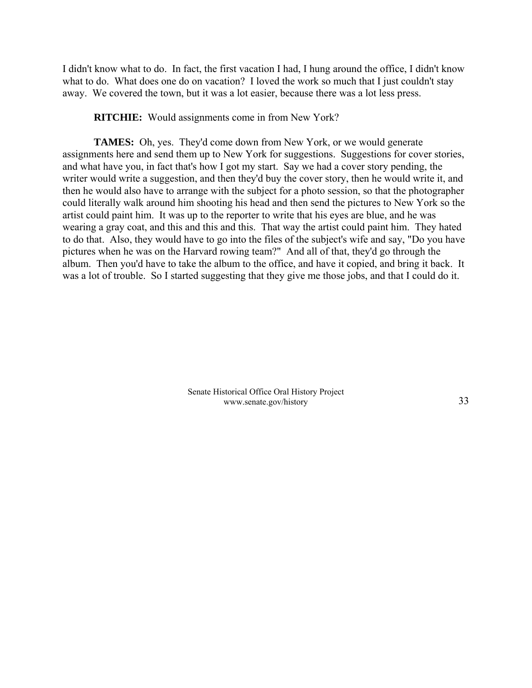I didn't know what to do. In fact, the first vacation I had, I hung around the office, I didn't know what to do. What does one do on vacation? I loved the work so much that I just couldn't stay away. We covered the town, but it was a lot easier, because there was a lot less press.

**RITCHIE:** Would assignments come in from New York?

**TAMES:** Oh, yes. They'd come down from New York, or we would generate assignments here and send them up to New York for suggestions. Suggestions for cover stories, and what have you, in fact that's how I got my start. Say we had a cover story pending, the writer would write a suggestion, and then they'd buy the cover story, then he would write it, and then he would also have to arrange with the subject for a photo session, so that the photographer could literally walk around him shooting his head and then send the pictures to New York so the artist could paint him. It was up to the reporter to write that his eyes are blue, and he was wearing a gray coat, and this and this and this. That way the artist could paint him. They hated to do that. Also, they would have to go into the files of the subject's wife and say, "Do you have pictures when he was on the Harvard rowing team?" And all of that, they'd go through the album. Then you'd have to take the album to the office, and have it copied, and bring it back. It was a lot of trouble. So I started suggesting that they give me those jobs, and that I could do it.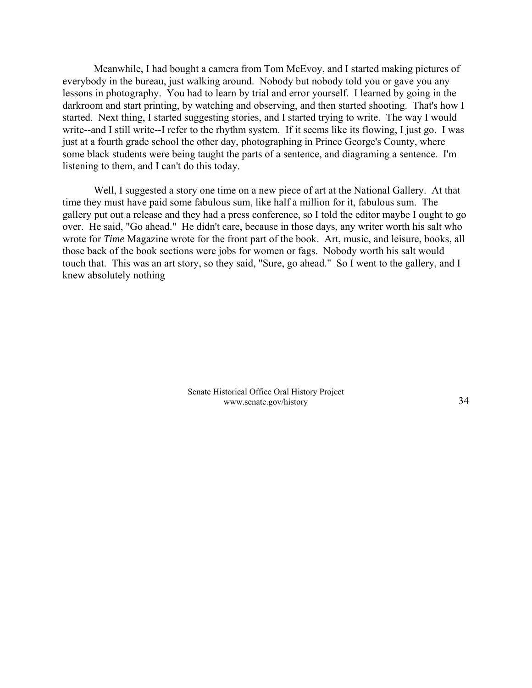Meanwhile, I had bought a camera from Tom McEvoy, and I started making pictures of everybody in the bureau, just walking around. Nobody but nobody told you or gave you any lessons in photography. You had to learn by trial and error yourself. I learned by going in the darkroom and start printing, by watching and observing, and then started shooting. That's how I started. Next thing, I started suggesting stories, and I started trying to write. The way I would write--and I still write--I refer to the rhythm system. If it seems like its flowing, I just go. I was just at a fourth grade school the other day, photographing in Prince George's County, where some black students were being taught the parts of a sentence, and diagraming a sentence. I'm listening to them, and I can't do this today.

Well, I suggested a story one time on a new piece of art at the National Gallery. At that time they must have paid some fabulous sum, like half a million for it, fabulous sum. The gallery put out a release and they had a press conference, so I told the editor maybe I ought to go over. He said, "Go ahead." He didn't care, because in those days, any writer worth his salt who wrote for *Time* Magazine wrote for the front part of the book. Art, music, and leisure, books, all those back of the book sections were jobs for women or fags. Nobody worth his salt would touch that. This was an art story, so they said, "Sure, go ahead." So I went to the gallery, and I knew absolutely nothing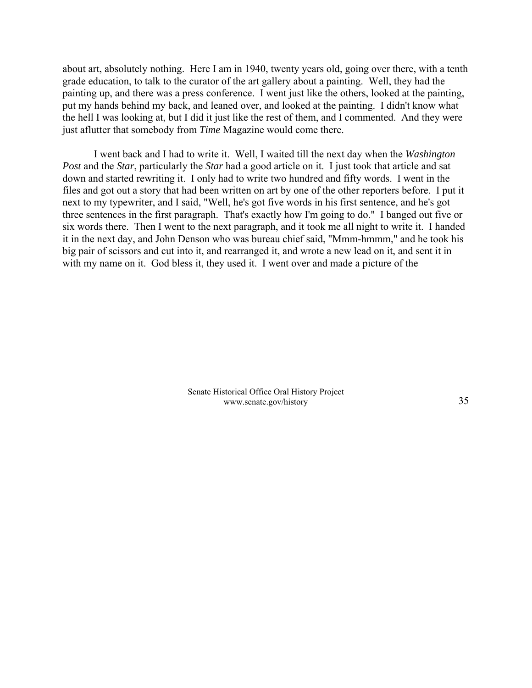about art, absolutely nothing. Here I am in 1940, twenty years old, going over there, with a tenth grade education, to talk to the curator of the art gallery about a painting. Well, they had the painting up, and there was a press conference. I went just like the others, looked at the painting, put my hands behind my back, and leaned over, and looked at the painting. I didn't know what the hell I was looking at, but I did it just like the rest of them, and I commented. And they were just aflutter that somebody from *Time* Magazine would come there.

I went back and I had to write it. Well, I waited till the next day when the *Washington Post* and the *Star*, particularly the *Star* had a good article on it. I just took that article and sat down and started rewriting it. I only had to write two hundred and fifty words. I went in the files and got out a story that had been written on art by one of the other reporters before. I put it next to my typewriter, and I said, "Well, he's got five words in his first sentence, and he's got three sentences in the first paragraph. That's exactly how I'm going to do." I banged out five or six words there. Then I went to the next paragraph, and it took me all night to write it. I handed it in the next day, and John Denson who was bureau chief said, "Mmm-hmmm," and he took his big pair of scissors and cut into it, and rearranged it, and wrote a new lead on it, and sent it in with my name on it. God bless it, they used it. I went over and made a picture of the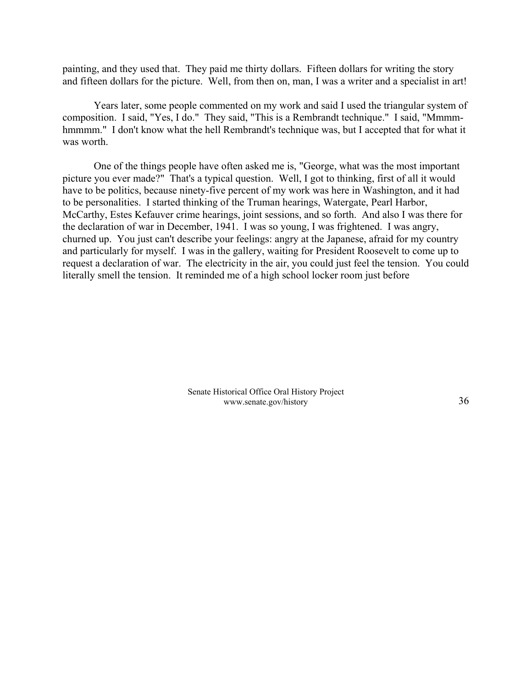painting, and they used that. They paid me thirty dollars. Fifteen dollars for writing the story and fifteen dollars for the picture. Well, from then on, man, I was a writer and a specialist in art!

Years later, some people commented on my work and said I used the triangular system of composition. I said, "Yes, I do." They said, "This is a Rembrandt technique." I said, "Mmmmhmmmm." I don't know what the hell Rembrandt's technique was, but I accepted that for what it was worth.

One of the things people have often asked me is, "George, what was the most important picture you ever made?" That's a typical question. Well, I got to thinking, first of all it would have to be politics, because ninety-five percent of my work was here in Washington, and it had to be personalities. I started thinking of the Truman hearings, Watergate, Pearl Harbor, McCarthy, Estes Kefauver crime hearings, joint sessions, and so forth. And also I was there for the declaration of war in December, 1941. I was so young, I was frightened. I was angry, churned up. You just can't describe your feelings: angry at the Japanese, afraid for my country and particularly for myself. I was in the gallery, waiting for President Roosevelt to come up to request a declaration of war. The electricity in the air, you could just feel the tension. You could literally smell the tension. It reminded me of a high school locker room just before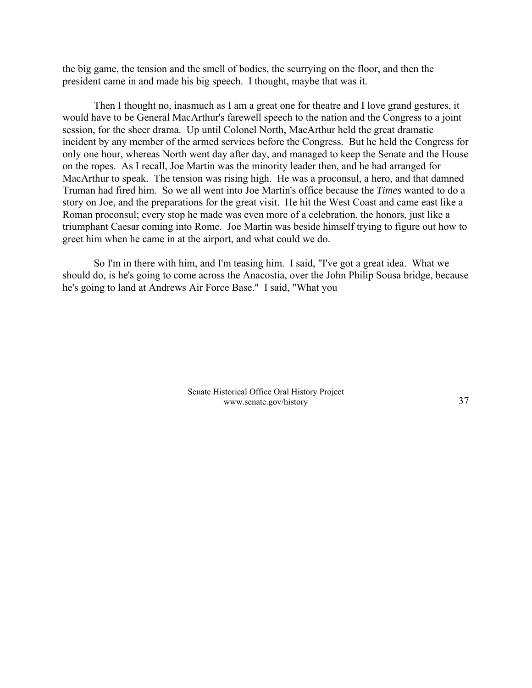the big game, the tension and the smell of bodies, the scurrying on the floor, and then the president came in and made his big speech. I thought, maybe that was it.

Then I thought no, inasmuch as I am a great one for theatre and I love grand gestures, it would have to be General MacArthur's farewell speech to the nation and the Congress to a joint session, for the sheer drama. Up until Colonel North, MacArthur held the great dramatic incident by any member of the armed services before the Congress. But he held the Congress for only one hour, whereas North went day after day, and managed to keep the Senate and the House on the ropes. As I recall, Joe Martin was the minority leader then, and he had arranged for MacArthur to speak. The tension was rising high. He was a proconsul, a hero, and that damned Truman had fired him. So we all went into Joe Martin's office because the *Times* wanted to do a story on Joe, and the preparations for the great visit. He hit the West Coast and came east like a Roman proconsul; every stop he made was even more of a celebration, the honors, just like a triumphant Caesar coming into Rome. Joe Martin was beside himself trying to figure out how to greet him when he came in at the airport, and what could we do.

So I'm in there with him, and I'm teasing him. I said, "I've got a great idea. What we should do, is he's going to come across the Anacostia, over the John Philip Sousa bridge, because he's going to land at Andrews Air Force Base." I said, "What you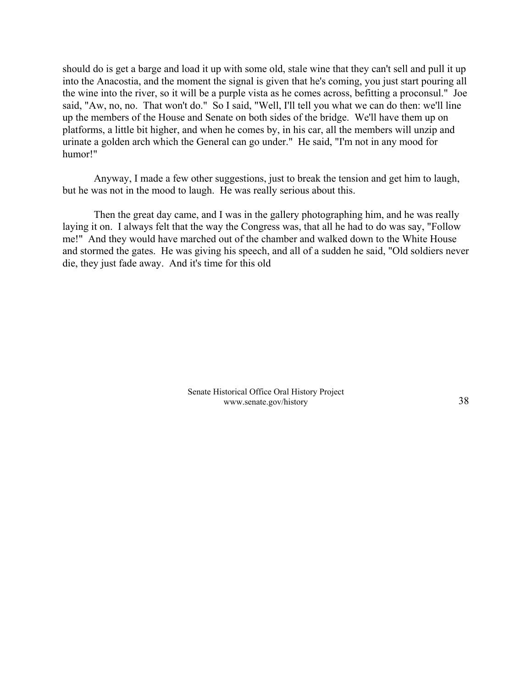should do is get a barge and load it up with some old, stale wine that they can't sell and pull it up into the Anacostia, and the moment the signal is given that he's coming, you just start pouring all the wine into the river, so it will be a purple vista as he comes across, befitting a proconsul." Joe said, "Aw, no, no. That won't do." So I said, "Well, I'll tell you what we can do then: we'll line up the members of the House and Senate on both sides of the bridge. We'll have them up on platforms, a little bit higher, and when he comes by, in his car, all the members will unzip and urinate a golden arch which the General can go under." He said, "I'm not in any mood for humor!"

Anyway, I made a few other suggestions, just to break the tension and get him to laugh, but he was not in the mood to laugh. He was really serious about this.

Then the great day came, and I was in the gallery photographing him, and he was really laying it on. I always felt that the way the Congress was, that all he had to do was say, "Follow me!" And they would have marched out of the chamber and walked down to the White House and stormed the gates. He was giving his speech, and all of a sudden he said, "Old soldiers never die, they just fade away. And it's time for this old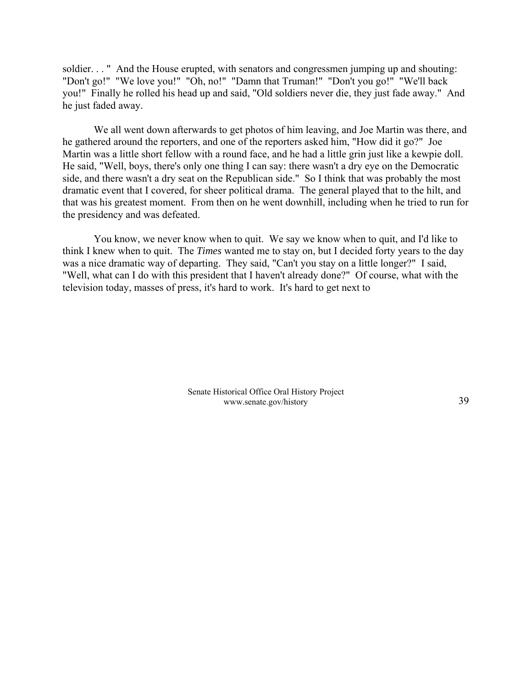soldier. . . " And the House erupted, with senators and congressmen jumping up and shouting: "Don't go!" "We love you!" "Oh, no!" "Damn that Truman!" "Don't you go!" "We'll back you!" Finally he rolled his head up and said, "Old soldiers never die, they just fade away." And he just faded away.

We all went down afterwards to get photos of him leaving, and Joe Martin was there, and he gathered around the reporters, and one of the reporters asked him, "How did it go?" Joe Martin was a little short fellow with a round face, and he had a little grin just like a kewpie doll. He said, "Well, boys, there's only one thing I can say: there wasn't a dry eye on the Democratic side, and there wasn't a dry seat on the Republican side." So I think that was probably the most dramatic event that I covered, for sheer political drama. The general played that to the hilt, and that was his greatest moment. From then on he went downhill, including when he tried to run for the presidency and was defeated.

You know, we never know when to quit. We say we know when to quit, and I'd like to think I knew when to quit. The *Times* wanted me to stay on, but I decided forty years to the day was a nice dramatic way of departing. They said, "Can't you stay on a little longer?" I said, "Well, what can I do with this president that I haven't already done?" Of course, what with the television today, masses of press, it's hard to work. It's hard to get next to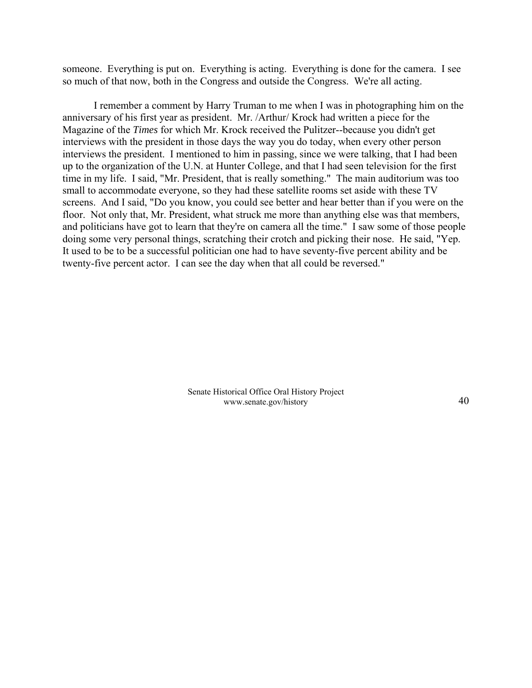someone. Everything is put on. Everything is acting. Everything is done for the camera. I see so much of that now, both in the Congress and outside the Congress. We're all acting.

I remember a comment by Harry Truman to me when I was in photographing him on the anniversary of his first year as president. Mr. /Arthur/ Krock had written a piece for the Magazine of the *Times* for which Mr. Krock received the Pulitzer--because you didn't get interviews with the president in those days the way you do today, when every other person interviews the president. I mentioned to him in passing, since we were talking, that I had been up to the organization of the U.N. at Hunter College, and that I had seen television for the first time in my life. I said, "Mr. President, that is really something." The main auditorium was too small to accommodate everyone, so they had these satellite rooms set aside with these TV screens. And I said, "Do you know, you could see better and hear better than if you were on the floor. Not only that, Mr. President, what struck me more than anything else was that members, and politicians have got to learn that they're on camera all the time." I saw some of those people doing some very personal things, scratching their crotch and picking their nose. He said, "Yep. It used to be to be a successful politician one had to have seventy-five percent ability and be twenty-five percent actor. I can see the day when that all could be reversed."